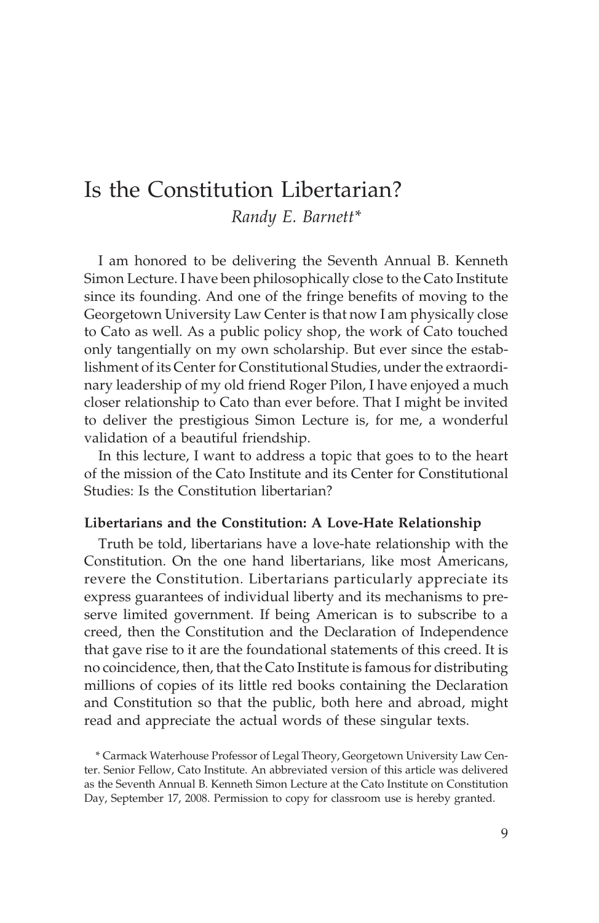# Is the Constitution Libertarian? *Randy E. Barnett\**

I am honored to be delivering the Seventh Annual B. Kenneth Simon Lecture. I have been philosophically close to the Cato Institute since its founding. And one of the fringe benefits of moving to the Georgetown University Law Center is that now I am physically close to Cato as well. As a public policy shop, the work of Cato touched only tangentially on my own scholarship. But ever since the establishment of its Center for Constitutional Studies, under the extraordinary leadership of my old friend Roger Pilon, I have enjoyed a much closer relationship to Cato than ever before. That I might be invited to deliver the prestigious Simon Lecture is, for me, a wonderful validation of a beautiful friendship.

In this lecture, I want to address a topic that goes to to the heart of the mission of the Cato Institute and its Center for Constitutional Studies: Is the Constitution libertarian?

#### **Libertarians and the Constitution: A Love-Hate Relationship**

Truth be told, libertarians have a love-hate relationship with the Constitution. On the one hand libertarians, like most Americans, revere the Constitution. Libertarians particularly appreciate its express guarantees of individual liberty and its mechanisms to preserve limited government. If being American is to subscribe to a creed, then the Constitution and the Declaration of Independence that gave rise to it are the foundational statements of this creed. It is no coincidence, then, that the Cato Institute is famous for distributing millions of copies of its little red books containing the Declaration and Constitution so that the public, both here and abroad, might read and appreciate the actual words of these singular texts.

<sup>\*</sup> Carmack Waterhouse Professor of Legal Theory, Georgetown University Law Center. Senior Fellow, Cato Institute. An abbreviated version of this article was delivered as the Seventh Annual B. Kenneth Simon Lecture at the Cato Institute on Constitution Day, September 17, 2008. Permission to copy for classroom use is hereby granted.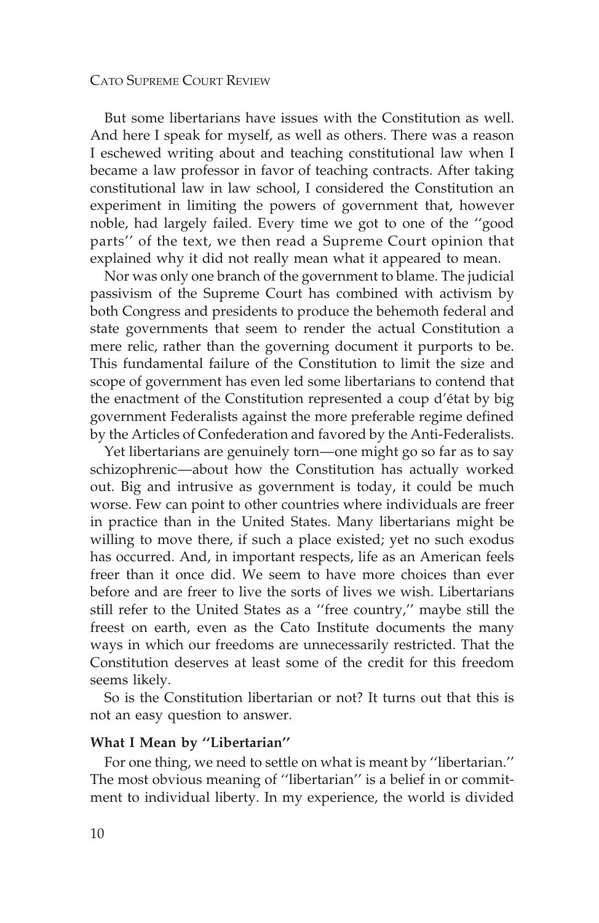#### CATO SUPREME COURT REVIEW

But some libertarians have issues with the Constitution as well. And here I speak for myself, as well as others. There was a reason I eschewed writing about and teaching constitutional law when I became a law professor in favor of teaching contracts. After taking constitutional law in law school, I considered the Constitution an experiment in limiting the powers of government that, however noble, had largely failed. Every time we got to one of the ''good parts'' of the text, we then read a Supreme Court opinion that explained why it did not really mean what it appeared to mean.

Nor was only one branch of the government to blame. The judicial passivism of the Supreme Court has combined with activism by both Congress and presidents to produce the behemoth federal and state governments that seem to render the actual Constitution a mere relic, rather than the governing document it purports to be. This fundamental failure of the Constitution to limit the size and scope of government has even led some libertarians to contend that the enactment of the Constitution represented a coup d'état by big government Federalists against the more preferable regime defined by the Articles of Confederation and favored by the Anti-Federalists.

Yet libertarians are genuinely torn—one might go so far as to say schizophrenic—about how the Constitution has actually worked out. Big and intrusive as government is today, it could be much worse. Few can point to other countries where individuals are freer in practice than in the United States. Many libertarians might be willing to move there, if such a place existed; yet no such exodus has occurred. And, in important respects, life as an American feels freer than it once did. We seem to have more choices than ever before and are freer to live the sorts of lives we wish. Libertarians still refer to the United States as a ''free country,'' maybe still the freest on earth, even as the Cato Institute documents the many ways in which our freedoms are unnecessarily restricted. That the Constitution deserves at least some of the credit for this freedom seems likely.

So is the Constitution libertarian or not? It turns out that this is not an easy question to answer.

## **What I Mean by ''Libertarian''**

For one thing, we need to settle on what is meant by ''libertarian.'' The most obvious meaning of ''libertarian'' is a belief in or commitment to individual liberty. In my experience, the world is divided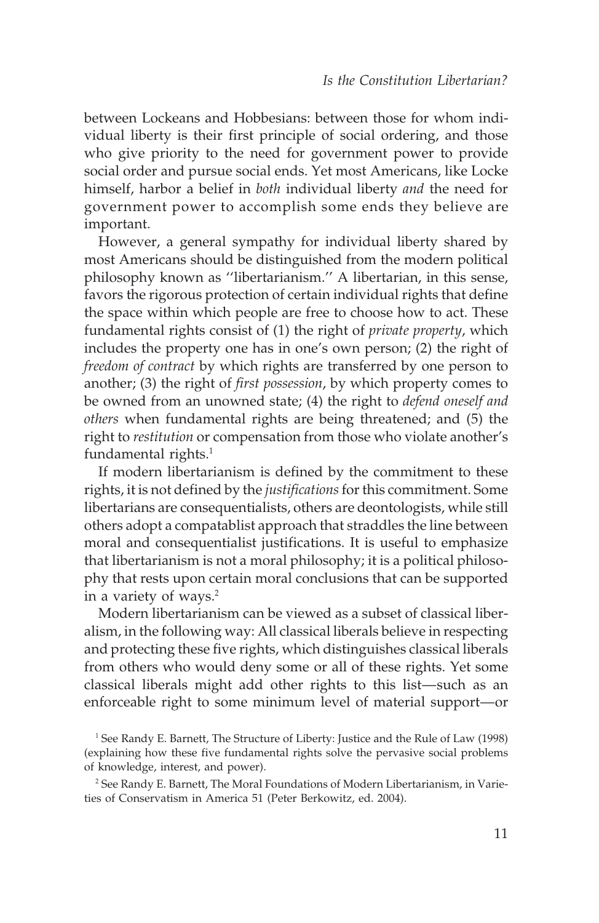between Lockeans and Hobbesians: between those for whom individual liberty is their first principle of social ordering, and those who give priority to the need for government power to provide social order and pursue social ends. Yet most Americans, like Locke himself, harbor a belief in *both* individual liberty *and* the need for government power to accomplish some ends they believe are important.

However, a general sympathy for individual liberty shared by most Americans should be distinguished from the modern political philosophy known as ''libertarianism.'' A libertarian, in this sense, favors the rigorous protection of certain individual rights that define the space within which people are free to choose how to act. These fundamental rights consist of (1) the right of *private property*, which includes the property one has in one's own person; (2) the right of *freedom of contract* by which rights are transferred by one person to another; (3) the right of *first possession*, by which property comes to be owned from an unowned state; (4) the right to *defend oneself and others* when fundamental rights are being threatened; and (5) the right to *restitution* or compensation from those who violate another's fundamental rights. $1$ 

If modern libertarianism is defined by the commitment to these rights, it is not defined by the *justifications*for this commitment. Some libertarians are consequentialists, others are deontologists, while still others adopt a compatablist approach that straddles the line between moral and consequentialist justifications. It is useful to emphasize that libertarianism is not a moral philosophy; it is a political philosophy that rests upon certain moral conclusions that can be supported in a variety of ways.<sup>2</sup>

Modern libertarianism can be viewed as a subset of classical liberalism, in the following way: All classical liberals believe in respecting and protecting these five rights, which distinguishes classical liberals from others who would deny some or all of these rights. Yet some classical liberals might add other rights to this list—such as an enforceable right to some minimum level of material support—or

<sup>&</sup>lt;sup>1</sup> See Randy E. Barnett, The Structure of Liberty: Justice and the Rule of Law (1998) (explaining how these five fundamental rights solve the pervasive social problems of knowledge, interest, and power).

<sup>&</sup>lt;sup>2</sup> See Randy E. Barnett, The Moral Foundations of Modern Libertarianism, in Varieties of Conservatism in America 51 (Peter Berkowitz, ed. 2004).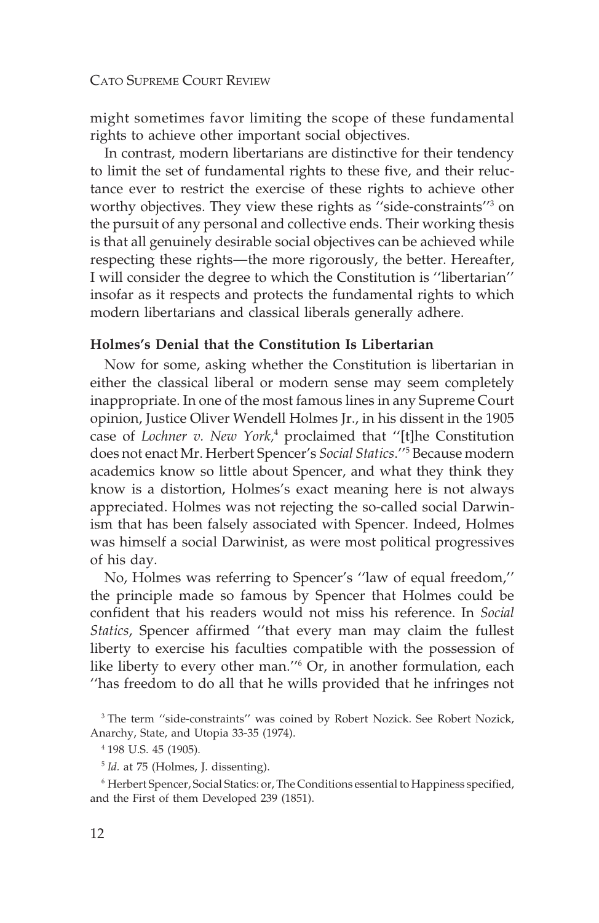might sometimes favor limiting the scope of these fundamental rights to achieve other important social objectives.

In contrast, modern libertarians are distinctive for their tendency to limit the set of fundamental rights to these five, and their reluctance ever to restrict the exercise of these rights to achieve other worthy objectives. They view these rights as ''side-constraints''3 on the pursuit of any personal and collective ends. Their working thesis is that all genuinely desirable social objectives can be achieved while respecting these rights—the more rigorously, the better. Hereafter, I will consider the degree to which the Constitution is ''libertarian'' insofar as it respects and protects the fundamental rights to which modern libertarians and classical liberals generally adhere.

### **Holmes's Denial that the Constitution Is Libertarian**

Now for some, asking whether the Constitution is libertarian in either the classical liberal or modern sense may seem completely inappropriate. In one of the most famous lines in any Supreme Court opinion, Justice Oliver Wendell Holmes Jr., in his dissent in the 1905 case of *Lochner v. New York,*<sup>4</sup> proclaimed that ''[t]he Constitution does not enact Mr. Herbert Spencer's *Social Statics*.''5 Because modern academics know so little about Spencer, and what they think they know is a distortion, Holmes's exact meaning here is not always appreciated. Holmes was not rejecting the so-called social Darwinism that has been falsely associated with Spencer. Indeed, Holmes was himself a social Darwinist, as were most political progressives of his day.

No, Holmes was referring to Spencer's ''law of equal freedom,'' the principle made so famous by Spencer that Holmes could be confident that his readers would not miss his reference. In *Social Statics*, Spencer affirmed ''that every man may claim the fullest liberty to exercise his faculties compatible with the possession of like liberty to every other man.''6 Or, in another formulation, each ''has freedom to do all that he wills provided that he infringes not

<sup>&</sup>lt;sup>3</sup> The term "side-constraints" was coined by Robert Nozick. See Robert Nozick, Anarchy, State, and Utopia 33-35 (1974).

<sup>4</sup> 198 U.S. 45 (1905).

<sup>5</sup> *Id.* at 75 (Holmes, J. dissenting).

<sup>&</sup>lt;sup>6</sup> Herbert Spencer, Social Statics: or, The Conditions essential to Happiness specified, and the First of them Developed 239 (1851).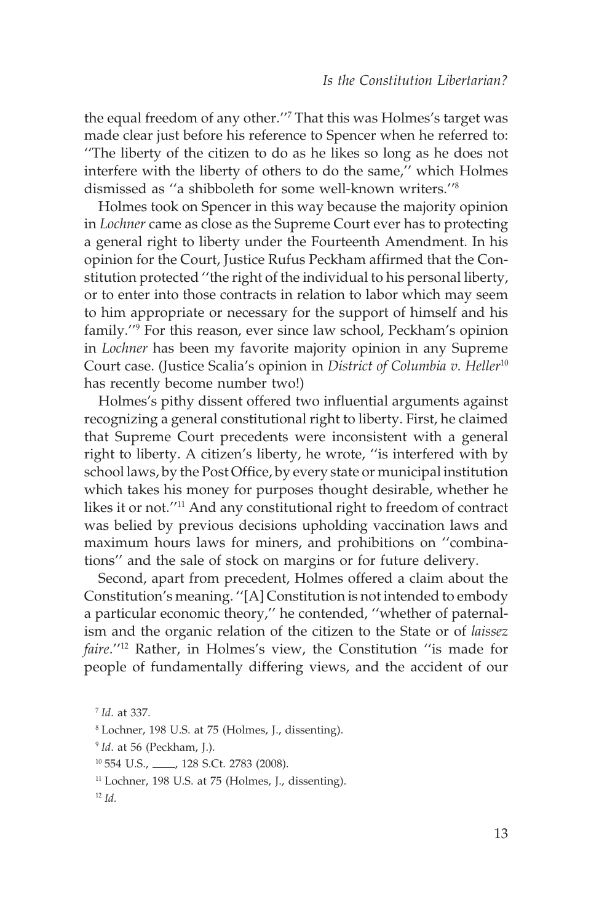the equal freedom of any other.''7 That this was Holmes's target was made clear just before his reference to Spencer when he referred to: ''The liberty of the citizen to do as he likes so long as he does not interfere with the liberty of others to do the same,'' which Holmes dismissed as ''a shibboleth for some well-known writers.''8

Holmes took on Spencer in this way because the majority opinion in *Lochner* came as close as the Supreme Court ever has to protecting a general right to liberty under the Fourteenth Amendment. In his opinion for the Court, Justice Rufus Peckham affirmed that the Constitution protected ''the right of the individual to his personal liberty, or to enter into those contracts in relation to labor which may seem to him appropriate or necessary for the support of himself and his family.''9 For this reason, ever since law school, Peckham's opinion in *Lochner* has been my favorite majority opinion in any Supreme Court case. (Justice Scalia's opinion in *District of Columbia v. Heller*<sup>10</sup> has recently become number two!)

Holmes's pithy dissent offered two influential arguments against recognizing a general constitutional right to liberty. First, he claimed that Supreme Court precedents were inconsistent with a general right to liberty. A citizen's liberty, he wrote, ''is interfered with by school laws, by the Post Office, by every state or municipal institution which takes his money for purposes thought desirable, whether he likes it or not.''11 And any constitutional right to freedom of contract was belied by previous decisions upholding vaccination laws and maximum hours laws for miners, and prohibitions on ''combinations'' and the sale of stock on margins or for future delivery.

Second, apart from precedent, Holmes offered a claim about the Constitution's meaning. ''[A] Constitution is not intended to embody a particular economic theory,'' he contended, ''whether of paternalism and the organic relation of the citizen to the State or of *laissez faire*.''12 Rather, in Holmes's view, the Constitution ''is made for people of fundamentally differing views, and the accident of our

<sup>7</sup> *Id*. at 337.

<sup>8</sup> Lochner, 198 U.S. at 75 (Holmes, J., dissenting).

<sup>9</sup> *Id*. at 56 (Peckham, J.).

<sup>&</sup>lt;sup>10</sup> 554 U.S., \_\_\_\_, 128 S.Ct. 2783 (2008).

 $11$  Lochner, 198 U.S. at 75 (Holmes, J., dissenting).

<sup>12</sup> *Id.*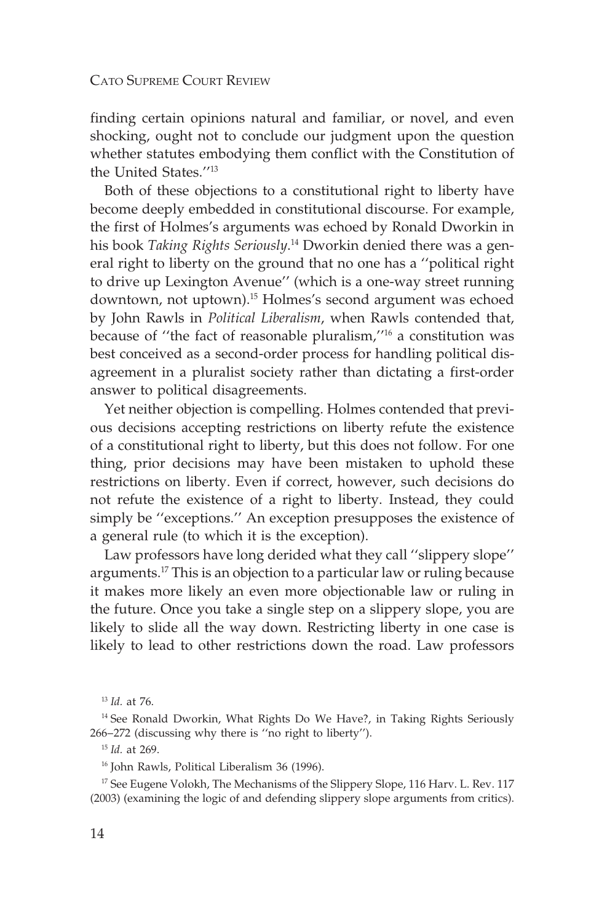finding certain opinions natural and familiar, or novel, and even shocking, ought not to conclude our judgment upon the question whether statutes embodying them conflict with the Constitution of the United States.''13

Both of these objections to a constitutional right to liberty have become deeply embedded in constitutional discourse. For example, the first of Holmes's arguments was echoed by Ronald Dworkin in his book *Taking Rights Seriously*. <sup>14</sup> Dworkin denied there was a general right to liberty on the ground that no one has a ''political right to drive up Lexington Avenue'' (which is a one-way street running downtown, not uptown).15 Holmes's second argument was echoed by John Rawls in *Political Liberalism*, when Rawls contended that, because of ''the fact of reasonable pluralism,''16 a constitution was best conceived as a second-order process for handling political disagreement in a pluralist society rather than dictating a first-order answer to political disagreements.

Yet neither objection is compelling. Holmes contended that previous decisions accepting restrictions on liberty refute the existence of a constitutional right to liberty, but this does not follow. For one thing, prior decisions may have been mistaken to uphold these restrictions on liberty. Even if correct, however, such decisions do not refute the existence of a right to liberty. Instead, they could simply be ''exceptions.'' An exception presupposes the existence of a general rule (to which it is the exception).

Law professors have long derided what they call ''slippery slope'' arguments.17 This is an objection to a particular law or ruling because it makes more likely an even more objectionable law or ruling in the future. Once you take a single step on a slippery slope, you are likely to slide all the way down. Restricting liberty in one case is likely to lead to other restrictions down the road. Law professors

<sup>13</sup> *Id.* at 76.

<sup>&</sup>lt;sup>14</sup> See Ronald Dworkin, What Rights Do We Have?, in Taking Rights Seriously 266–272 (discussing why there is ''no right to liberty'').

<sup>15</sup> *Id.* at 269.

<sup>16</sup> John Rawls, Political Liberalism 36 (1996).

<sup>&</sup>lt;sup>17</sup> See Eugene Volokh, The Mechanisms of the Slippery Slope, 116 Harv. L. Rev. 117 (2003) (examining the logic of and defending slippery slope arguments from critics).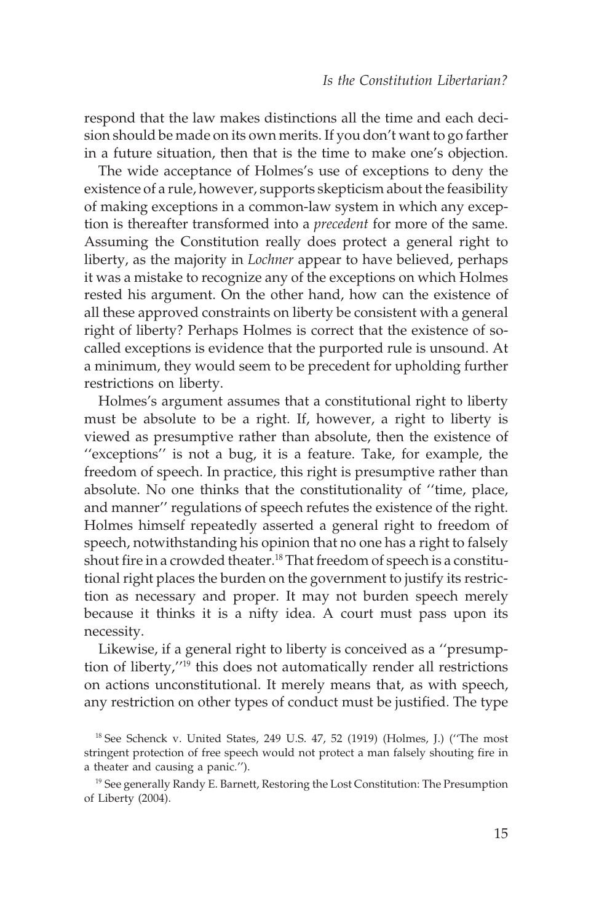respond that the law makes distinctions all the time and each decision should be made on its own merits. If you don't want to go farther in a future situation, then that is the time to make one's objection.

The wide acceptance of Holmes's use of exceptions to deny the existence of a rule, however, supports skepticism about the feasibility of making exceptions in a common-law system in which any exception is thereafter transformed into a *precedent* for more of the same. Assuming the Constitution really does protect a general right to liberty, as the majority in *Lochner* appear to have believed, perhaps it was a mistake to recognize any of the exceptions on which Holmes rested his argument. On the other hand, how can the existence of all these approved constraints on liberty be consistent with a general right of liberty? Perhaps Holmes is correct that the existence of socalled exceptions is evidence that the purported rule is unsound. At a minimum, they would seem to be precedent for upholding further restrictions on liberty.

Holmes's argument assumes that a constitutional right to liberty must be absolute to be a right. If, however, a right to liberty is viewed as presumptive rather than absolute, then the existence of "exceptions" is not a bug, it is a feature. Take, for example, the freedom of speech. In practice, this right is presumptive rather than absolute. No one thinks that the constitutionality of ''time, place, and manner'' regulations of speech refutes the existence of the right. Holmes himself repeatedly asserted a general right to freedom of speech, notwithstanding his opinion that no one has a right to falsely shout fire in a crowded theater.<sup>18</sup> That freedom of speech is a constitutional right places the burden on the government to justify its restriction as necessary and proper. It may not burden speech merely because it thinks it is a nifty idea. A court must pass upon its necessity.

Likewise, if a general right to liberty is conceived as a ''presumption of liberty,''19 this does not automatically render all restrictions on actions unconstitutional. It merely means that, as with speech, any restriction on other types of conduct must be justified. The type

<sup>18</sup> See Schenck v. United States, 249 U.S. 47, 52 (1919) (Holmes, J.) (''The most stringent protection of free speech would not protect a man falsely shouting fire in a theater and causing a panic.'').

<sup>&</sup>lt;sup>19</sup> See generally Randy E. Barnett, Restoring the Lost Constitution: The Presumption of Liberty (2004).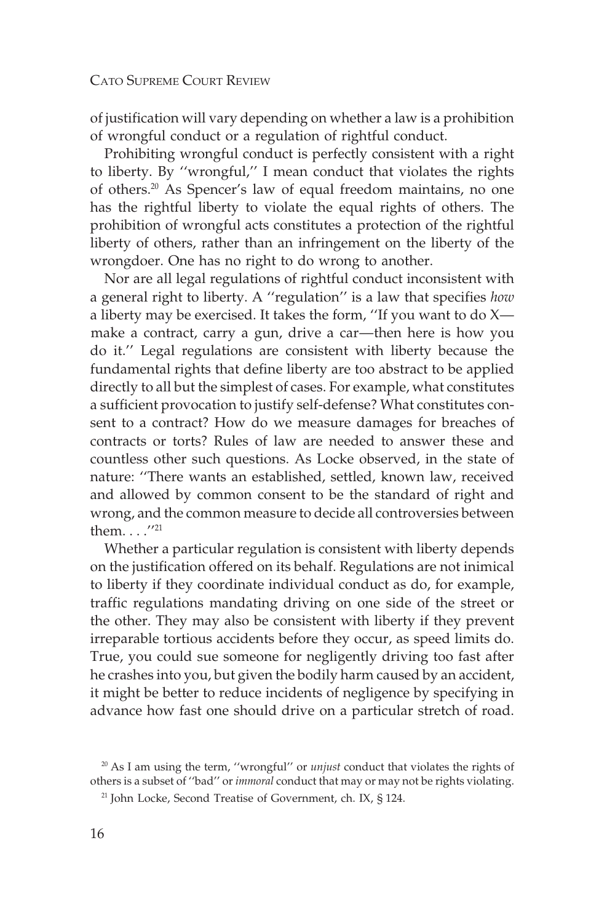of justification will vary depending on whether a law is a prohibition of wrongful conduct or a regulation of rightful conduct.

Prohibiting wrongful conduct is perfectly consistent with a right to liberty. By ''wrongful,'' I mean conduct that violates the rights of others.20 As Spencer's law of equal freedom maintains, no one has the rightful liberty to violate the equal rights of others. The prohibition of wrongful acts constitutes a protection of the rightful liberty of others, rather than an infringement on the liberty of the wrongdoer. One has no right to do wrong to another.

Nor are all legal regulations of rightful conduct inconsistent with a general right to liberty. A ''regulation'' is a law that specifies *how* a liberty may be exercised. It takes the form, ''If you want to do X make a contract, carry a gun, drive a car—then here is how you do it.'' Legal regulations are consistent with liberty because the fundamental rights that define liberty are too abstract to be applied directly to all but the simplest of cases. For example, what constitutes a sufficient provocation to justify self-defense? What constitutes consent to a contract? How do we measure damages for breaches of contracts or torts? Rules of law are needed to answer these and countless other such questions. As Locke observed, in the state of nature: ''There wants an established, settled, known law, received and allowed by common consent to be the standard of right and wrong, and the common measure to decide all controversies between them. . . .''21

Whether a particular regulation is consistent with liberty depends on the justification offered on its behalf. Regulations are not inimical to liberty if they coordinate individual conduct as do, for example, traffic regulations mandating driving on one side of the street or the other. They may also be consistent with liberty if they prevent irreparable tortious accidents before they occur, as speed limits do. True, you could sue someone for negligently driving too fast after he crashes into you, but given the bodily harm caused by an accident, it might be better to reduce incidents of negligence by specifying in advance how fast one should drive on a particular stretch of road.

<sup>20</sup> As I am using the term, ''wrongful'' or *unjust* conduct that violates the rights of others is a subset of ''bad'' or *immoral* conduct that may or may not be rights violating.

<sup>&</sup>lt;sup>21</sup> John Locke, Second Treatise of Government, ch. IX, § 124.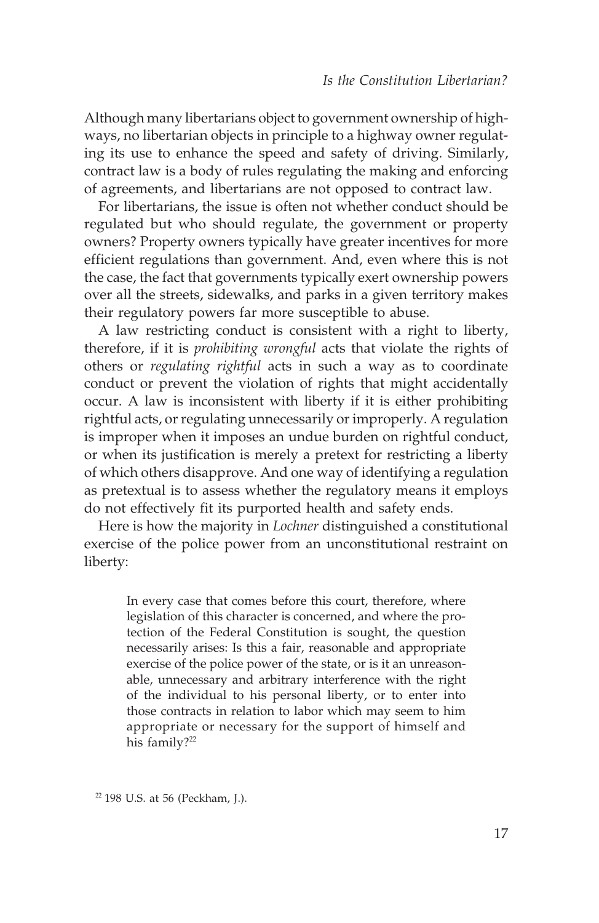Although many libertarians object to government ownership of highways, no libertarian objects in principle to a highway owner regulating its use to enhance the speed and safety of driving. Similarly, contract law is a body of rules regulating the making and enforcing of agreements, and libertarians are not opposed to contract law.

For libertarians, the issue is often not whether conduct should be regulated but who should regulate, the government or property owners? Property owners typically have greater incentives for more efficient regulations than government. And, even where this is not the case, the fact that governments typically exert ownership powers over all the streets, sidewalks, and parks in a given territory makes their regulatory powers far more susceptible to abuse.

A law restricting conduct is consistent with a right to liberty, therefore, if it is *prohibiting wrongful* acts that violate the rights of others or *regulating rightful* acts in such a way as to coordinate conduct or prevent the violation of rights that might accidentally occur. A law is inconsistent with liberty if it is either prohibiting rightful acts, or regulating unnecessarily or improperly. A regulation is improper when it imposes an undue burden on rightful conduct, or when its justification is merely a pretext for restricting a liberty of which others disapprove. And one way of identifying a regulation as pretextual is to assess whether the regulatory means it employs do not effectively fit its purported health and safety ends.

Here is how the majority in *Lochner* distinguished a constitutional exercise of the police power from an unconstitutional restraint on liberty:

In every case that comes before this court, therefore, where legislation of this character is concerned, and where the protection of the Federal Constitution is sought, the question necessarily arises: Is this a fair, reasonable and appropriate exercise of the police power of the state, or is it an unreasonable, unnecessary and arbitrary interference with the right of the individual to his personal liberty, or to enter into those contracts in relation to labor which may seem to him appropriate or necessary for the support of himself and his family?<sup>22</sup>

<sup>22</sup> 198 U.S. at 56 (Peckham, J.).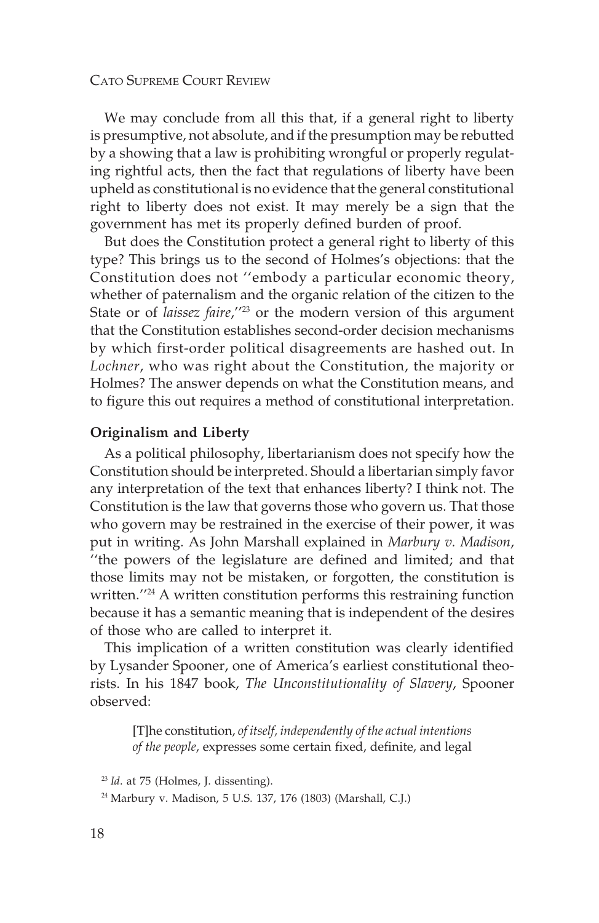#### CATO SUPREME COURT REVIEW

We may conclude from all this that, if a general right to liberty is presumptive, not absolute, and if the presumption may be rebutted by a showing that a law is prohibiting wrongful or properly regulating rightful acts, then the fact that regulations of liberty have been upheld as constitutional is no evidence that the general constitutional right to liberty does not exist. It may merely be a sign that the government has met its properly defined burden of proof.

But does the Constitution protect a general right to liberty of this type? This brings us to the second of Holmes's objections: that the Constitution does not ''embody a particular economic theory, whether of paternalism and the organic relation of the citizen to the State or of *laissez faire*,"<sup>23</sup> or the modern version of this argument that the Constitution establishes second-order decision mechanisms by which first-order political disagreements are hashed out. In *Lochner*, who was right about the Constitution, the majority or Holmes? The answer depends on what the Constitution means, and to figure this out requires a method of constitutional interpretation.

## **Originalism and Liberty**

As a political philosophy, libertarianism does not specify how the Constitution should be interpreted. Should a libertarian simply favor any interpretation of the text that enhances liberty? I think not. The Constitution is the law that governs those who govern us. That those who govern may be restrained in the exercise of their power, it was put in writing. As John Marshall explained in *Marbury v. Madison*, ''the powers of the legislature are defined and limited; and that those limits may not be mistaken, or forgotten, the constitution is written.''24 A written constitution performs this restraining function because it has a semantic meaning that is independent of the desires of those who are called to interpret it.

This implication of a written constitution was clearly identified by Lysander Spooner, one of America's earliest constitutional theorists. In his 1847 book, *The Unconstitutionality of Slavery*, Spooner observed:

[T]he constitution, *of itself, independently of the actual intentions of the people*, expresses some certain fixed, definite, and legal

<sup>23</sup> *Id*. at 75 (Holmes, J. dissenting).

<sup>24</sup> Marbury v. Madison, 5 U.S. 137, 176 (1803) (Marshall, C.J.)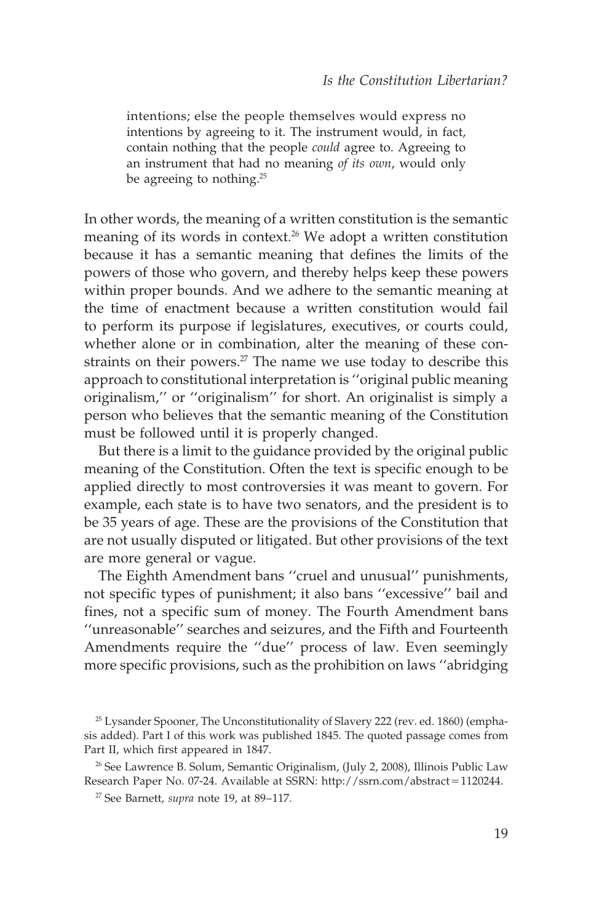intentions; else the people themselves would express no intentions by agreeing to it. The instrument would, in fact, contain nothing that the people *could* agree to. Agreeing to an instrument that had no meaning *of its own*, would only be agreeing to nothing.25

In other words, the meaning of a written constitution is the semantic meaning of its words in context.26 We adopt a written constitution because it has a semantic meaning that defines the limits of the powers of those who govern, and thereby helps keep these powers within proper bounds. And we adhere to the semantic meaning at the time of enactment because a written constitution would fail to perform its purpose if legislatures, executives, or courts could, whether alone or in combination, alter the meaning of these constraints on their powers.<sup>27</sup> The name we use today to describe this approach to constitutional interpretation is ''original public meaning originalism,'' or ''originalism'' for short. An originalist is simply a person who believes that the semantic meaning of the Constitution must be followed until it is properly changed.

But there is a limit to the guidance provided by the original public meaning of the Constitution. Often the text is specific enough to be applied directly to most controversies it was meant to govern. For example, each state is to have two senators, and the president is to be 35 years of age. These are the provisions of the Constitution that are not usually disputed or litigated. But other provisions of the text are more general or vague.

The Eighth Amendment bans ''cruel and unusual'' punishments, not specific types of punishment; it also bans ''excessive'' bail and fines, not a specific sum of money. The Fourth Amendment bans ''unreasonable'' searches and seizures, and the Fifth and Fourteenth Amendments require the ''due'' process of law. Even seemingly more specific provisions, such as the prohibition on laws ''abridging

<sup>&</sup>lt;sup>25</sup> Lysander Spooner, The Unconstitutionality of Slavery 222 (rev. ed. 1860) (emphasis added). Part I of this work was published 1845. The quoted passage comes from Part II, which first appeared in 1847.

<sup>&</sup>lt;sup>26</sup> See Lawrence B. Solum, Semantic Originalism, (July 2, 2008), Illinois Public Law Research Paper No. 07-24. Available at SSRN: http://ssrn.com/abstract=1120244.

<sup>27</sup> See Barnett, *supra* note 19, at 89–117.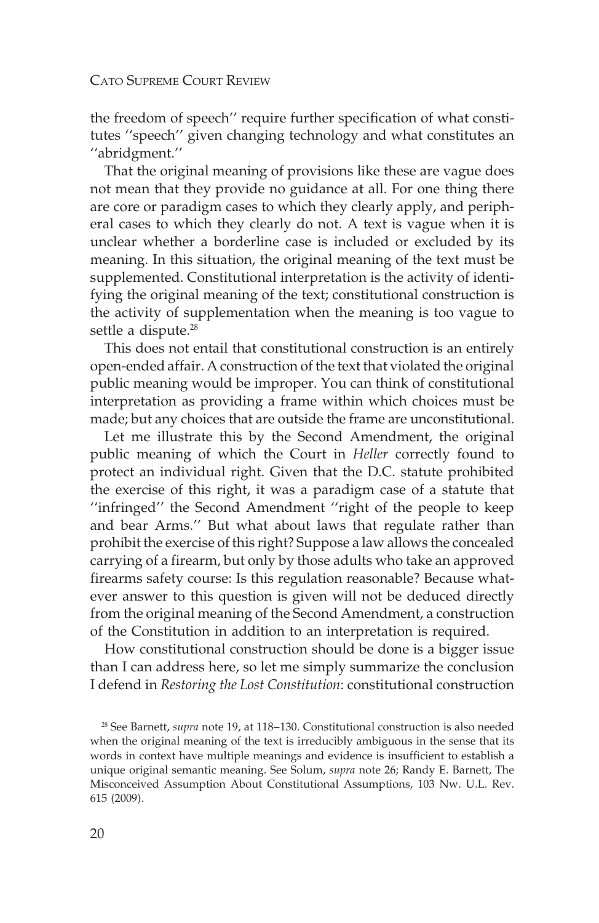the freedom of speech'' require further specification of what constitutes ''speech'' given changing technology and what constitutes an ''abridgment.''

That the original meaning of provisions like these are vague does not mean that they provide no guidance at all. For one thing there are core or paradigm cases to which they clearly apply, and peripheral cases to which they clearly do not. A text is vague when it is unclear whether a borderline case is included or excluded by its meaning. In this situation, the original meaning of the text must be supplemented. Constitutional interpretation is the activity of identifying the original meaning of the text; constitutional construction is the activity of supplementation when the meaning is too vague to settle a dispute.<sup>28</sup>

This does not entail that constitutional construction is an entirely open-ended affair. A construction of the text that violated the original public meaning would be improper. You can think of constitutional interpretation as providing a frame within which choices must be made; but any choices that are outside the frame are unconstitutional.

Let me illustrate this by the Second Amendment, the original public meaning of which the Court in *Heller* correctly found to protect an individual right. Given that the D.C. statute prohibited the exercise of this right, it was a paradigm case of a statute that ''infringed'' the Second Amendment ''right of the people to keep and bear Arms.'' But what about laws that regulate rather than prohibit the exercise of this right? Suppose a law allows the concealed carrying of a firearm, but only by those adults who take an approved firearms safety course: Is this regulation reasonable? Because whatever answer to this question is given will not be deduced directly from the original meaning of the Second Amendment, a construction of the Constitution in addition to an interpretation is required.

How constitutional construction should be done is a bigger issue than I can address here, so let me simply summarize the conclusion I defend in *Restoring the Lost Constitution*: constitutional construction

<sup>28</sup> See Barnett, *supra* note 19, at 118–130. Constitutional construction is also needed when the original meaning of the text is irreducibly ambiguous in the sense that its words in context have multiple meanings and evidence is insufficient to establish a unique original semantic meaning. See Solum, *supra* note 26; Randy E. Barnett, The Misconceived Assumption About Constitutional Assumptions, 103 Nw. U.L. Rev. 615 (2009).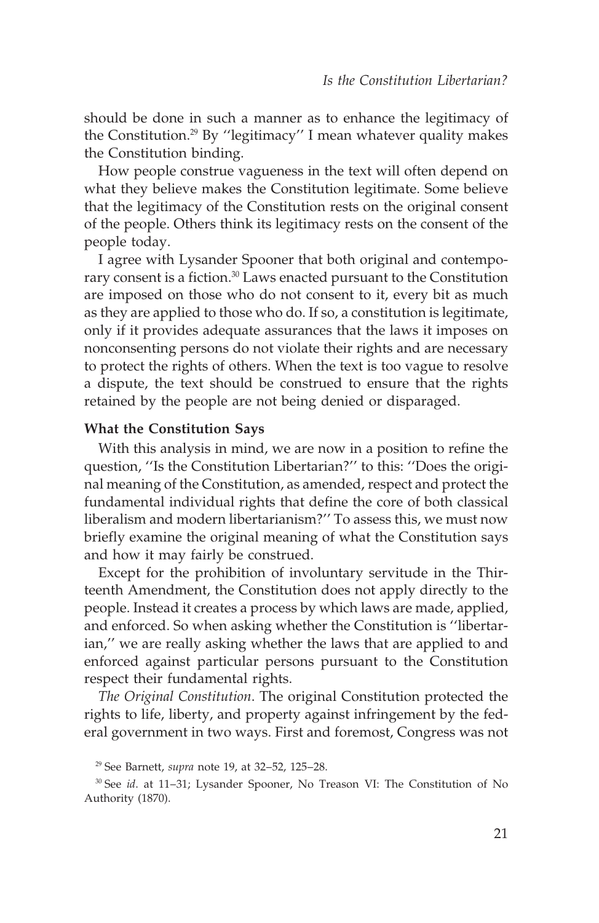should be done in such a manner as to enhance the legitimacy of the Constitution.29 By ''legitimacy'' I mean whatever quality makes the Constitution binding.

How people construe vagueness in the text will often depend on what they believe makes the Constitution legitimate. Some believe that the legitimacy of the Constitution rests on the original consent of the people. Others think its legitimacy rests on the consent of the people today.

I agree with Lysander Spooner that both original and contemporary consent is a fiction.<sup>30</sup> Laws enacted pursuant to the Constitution are imposed on those who do not consent to it, every bit as much as they are applied to those who do. If so, a constitution is legitimate, only if it provides adequate assurances that the laws it imposes on nonconsenting persons do not violate their rights and are necessary to protect the rights of others. When the text is too vague to resolve a dispute, the text should be construed to ensure that the rights retained by the people are not being denied or disparaged.

## **What the Constitution Says**

With this analysis in mind, we are now in a position to refine the question, ''Is the Constitution Libertarian?'' to this: ''Does the original meaning of the Constitution, as amended, respect and protect the fundamental individual rights that define the core of both classical liberalism and modern libertarianism?'' To assess this, we must now briefly examine the original meaning of what the Constitution says and how it may fairly be construed.

Except for the prohibition of involuntary servitude in the Thirteenth Amendment, the Constitution does not apply directly to the people. Instead it creates a process by which laws are made, applied, and enforced. So when asking whether the Constitution is ''libertarian,'' we are really asking whether the laws that are applied to and enforced against particular persons pursuant to the Constitution respect their fundamental rights.

*The Original Constitution*. The original Constitution protected the rights to life, liberty, and property against infringement by the federal government in two ways. First and foremost, Congress was not

<sup>29</sup> See Barnett, *supra* note 19, at 32–52, 125–28.

<sup>30</sup> See *id*. at 11–31; Lysander Spooner, No Treason VI: The Constitution of No Authority (1870).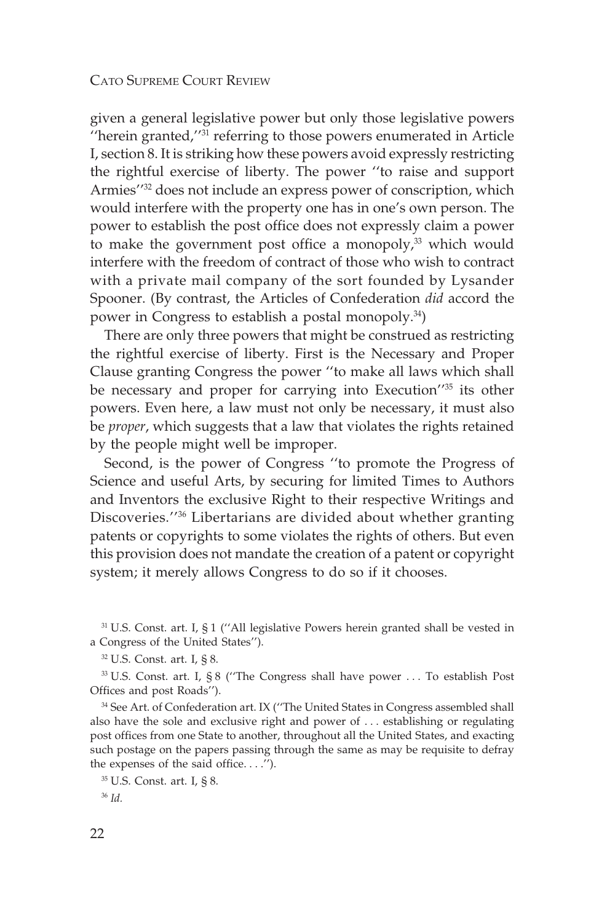given a general legislative power but only those legislative powers ''herein granted,''31 referring to those powers enumerated in Article I, section 8. It is striking how these powers avoid expressly restricting the rightful exercise of liberty. The power ''to raise and support Armies''32 does not include an express power of conscription, which would interfere with the property one has in one's own person. The power to establish the post office does not expressly claim a power to make the government post office a monopoly,<sup>33</sup> which would interfere with the freedom of contract of those who wish to contract with a private mail company of the sort founded by Lysander Spooner. (By contrast, the Articles of Confederation *did* accord the power in Congress to establish a postal monopoly.34)

There are only three powers that might be construed as restricting the rightful exercise of liberty. First is the Necessary and Proper Clause granting Congress the power ''to make all laws which shall be necessary and proper for carrying into Execution''35 its other powers. Even here, a law must not only be necessary, it must also be *proper*, which suggests that a law that violates the rights retained by the people might well be improper.

Second, is the power of Congress ''to promote the Progress of Science and useful Arts, by securing for limited Times to Authors and Inventors the exclusive Right to their respective Writings and Discoveries.''36 Libertarians are divided about whether granting patents or copyrights to some violates the rights of others. But even this provision does not mandate the creation of a patent or copyright system; it merely allows Congress to do so if it chooses.

 $31$  U.S. Const. art. I, § 1 ("All legislative Powers herein granted shall be vested in a Congress of the United States'').

<sup>33</sup> U.S. Const. art. I, § 8 (''The Congress shall have power . . . To establish Post Offices and post Roads'').

<sup>34</sup> See Art. of Confederation art. IX ("The United States in Congress assembled shall also have the sole and exclusive right and power of . . . establishing or regulating post offices from one State to another, throughout all the United States, and exacting such postage on the papers passing through the same as may be requisite to defray the expenses of the said office. . . .'').

<sup>35</sup> U.S. Const. art. I, § 8.

<sup>32</sup> U.S. Const. art. I, § 8.

<sup>36</sup> *Id.*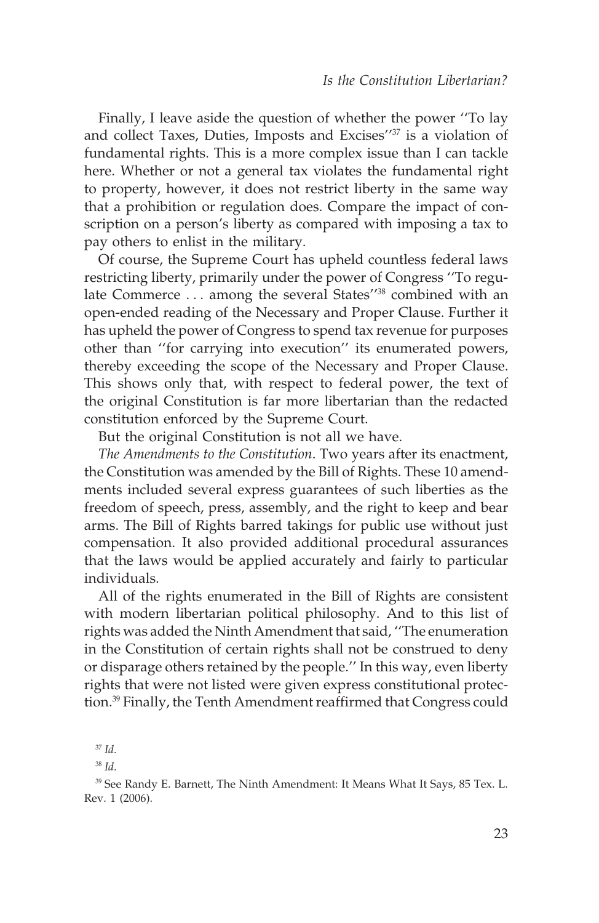Finally, I leave aside the question of whether the power ''To lay and collect Taxes, Duties, Imposts and Excises''37 is a violation of fundamental rights. This is a more complex issue than I can tackle here. Whether or not a general tax violates the fundamental right to property, however, it does not restrict liberty in the same way that a prohibition or regulation does. Compare the impact of conscription on a person's liberty as compared with imposing a tax to pay others to enlist in the military.

Of course, the Supreme Court has upheld countless federal laws restricting liberty, primarily under the power of Congress ''To regulate Commerce . . . among the several States''38 combined with an open-ended reading of the Necessary and Proper Clause. Further it has upheld the power of Congress to spend tax revenue for purposes other than ''for carrying into execution'' its enumerated powers, thereby exceeding the scope of the Necessary and Proper Clause. This shows only that, with respect to federal power, the text of the original Constitution is far more libertarian than the redacted constitution enforced by the Supreme Court.

But the original Constitution is not all we have.

*The Amendments to the Constitution*. Two years after its enactment, the Constitution was amended by the Bill of Rights. These 10 amendments included several express guarantees of such liberties as the freedom of speech, press, assembly, and the right to keep and bear arms. The Bill of Rights barred takings for public use without just compensation. It also provided additional procedural assurances that the laws would be applied accurately and fairly to particular individuals.

All of the rights enumerated in the Bill of Rights are consistent with modern libertarian political philosophy. And to this list of rights was added the Ninth Amendment that said, ''The enumeration in the Constitution of certain rights shall not be construed to deny or disparage others retained by the people.'' In this way, even liberty rights that were not listed were given express constitutional protection.39 Finally, the Tenth Amendment reaffirmed that Congress could

<sup>37</sup> *Id.*

<sup>38</sup> *Id.*

<sup>39</sup> See Randy E. Barnett, The Ninth Amendment: It Means What It Says, 85 Tex. L. Rev. 1 (2006).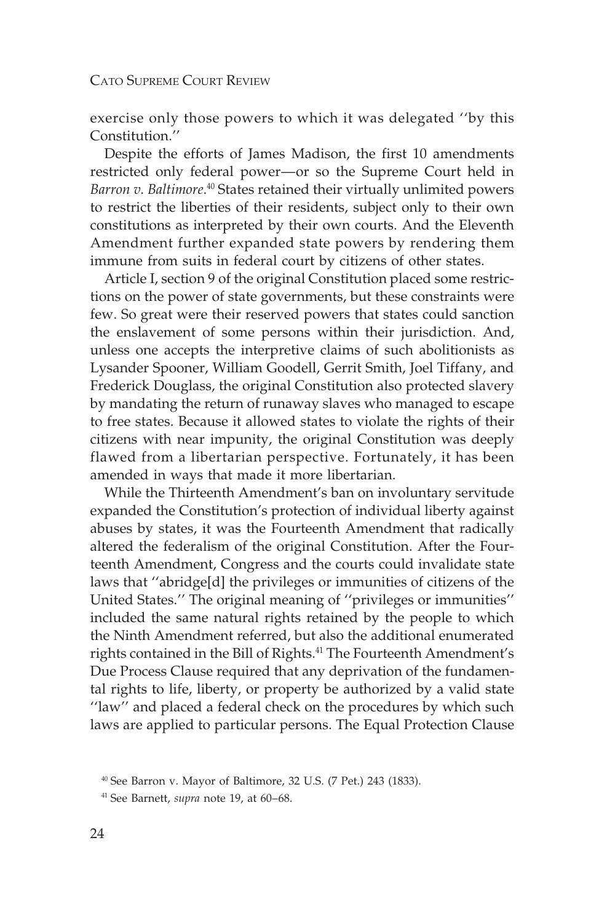exercise only those powers to which it was delegated ''by this Constitution.''

Despite the efforts of James Madison, the first 10 amendments restricted only federal power—or so the Supreme Court held in *Barron v. Baltimore*. <sup>40</sup> States retained their virtually unlimited powers to restrict the liberties of their residents, subject only to their own constitutions as interpreted by their own courts. And the Eleventh Amendment further expanded state powers by rendering them immune from suits in federal court by citizens of other states.

Article I, section 9 of the original Constitution placed some restrictions on the power of state governments, but these constraints were few. So great were their reserved powers that states could sanction the enslavement of some persons within their jurisdiction. And, unless one accepts the interpretive claims of such abolitionists as Lysander Spooner, William Goodell, Gerrit Smith, Joel Tiffany, and Frederick Douglass, the original Constitution also protected slavery by mandating the return of runaway slaves who managed to escape to free states. Because it allowed states to violate the rights of their citizens with near impunity, the original Constitution was deeply flawed from a libertarian perspective. Fortunately, it has been amended in ways that made it more libertarian.

While the Thirteenth Amendment's ban on involuntary servitude expanded the Constitution's protection of individual liberty against abuses by states, it was the Fourteenth Amendment that radically altered the federalism of the original Constitution. After the Fourteenth Amendment, Congress and the courts could invalidate state laws that ''abridge[d] the privileges or immunities of citizens of the United States.'' The original meaning of ''privileges or immunities'' included the same natural rights retained by the people to which the Ninth Amendment referred, but also the additional enumerated rights contained in the Bill of Rights.41 The Fourteenth Amendment's Due Process Clause required that any deprivation of the fundamental rights to life, liberty, or property be authorized by a valid state "law" and placed a federal check on the procedures by which such laws are applied to particular persons. The Equal Protection Clause

<sup>40</sup> See Barron v. Mayor of Baltimore, 32 U.S. (7 Pet.) 243 (1833).

<sup>41</sup> See Barnett, *supra* note 19, at 60–68.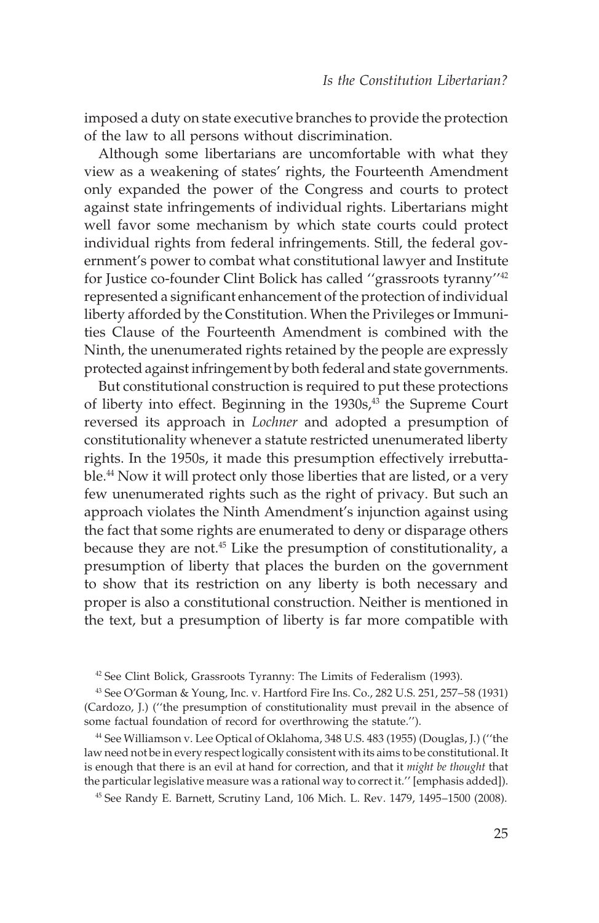imposed a duty on state executive branches to provide the protection of the law to all persons without discrimination.

Although some libertarians are uncomfortable with what they view as a weakening of states' rights, the Fourteenth Amendment only expanded the power of the Congress and courts to protect against state infringements of individual rights. Libertarians might well favor some mechanism by which state courts could protect individual rights from federal infringements. Still, the federal government's power to combat what constitutional lawyer and Institute for Justice co-founder Clint Bolick has called ''grassroots tyranny''42 represented a significant enhancement of the protection of individual liberty afforded by the Constitution. When the Privileges or Immunities Clause of the Fourteenth Amendment is combined with the Ninth, the unenumerated rights retained by the people are expressly protected against infringement by both federal and state governments.

But constitutional construction is required to put these protections of liberty into effect. Beginning in the 1930s,<sup>43</sup> the Supreme Court reversed its approach in *Lochner* and adopted a presumption of constitutionality whenever a statute restricted unenumerated liberty rights. In the 1950s, it made this presumption effectively irrebuttable.44 Now it will protect only those liberties that are listed, or a very few unenumerated rights such as the right of privacy. But such an approach violates the Ninth Amendment's injunction against using the fact that some rights are enumerated to deny or disparage others because they are not.<sup>45</sup> Like the presumption of constitutionality, a presumption of liberty that places the burden on the government to show that its restriction on any liberty is both necessary and proper is also a constitutional construction. Neither is mentioned in the text, but a presumption of liberty is far more compatible with

<sup>45</sup> See Randy E. Barnett, Scrutiny Land, 106 Mich. L. Rev. 1479, 1495–1500 (2008).

<sup>42</sup> See Clint Bolick, Grassroots Tyranny: The Limits of Federalism (1993).

<sup>43</sup> See O'Gorman & Young, Inc. v. Hartford Fire Ins. Co., 282 U.S. 251, 257–58 (1931) (Cardozo, J.) (''the presumption of constitutionality must prevail in the absence of some factual foundation of record for overthrowing the statute.'').

<sup>44</sup> See Williamson v. Lee Optical of Oklahoma, 348 U.S. 483 (1955) (Douglas, J.) (''the law need not be in every respect logically consistent with its aims to be constitutional. It is enough that there is an evil at hand for correction, and that it *might be thought* that the particular legislative measure was a rational way to correct it.'' [emphasis added]).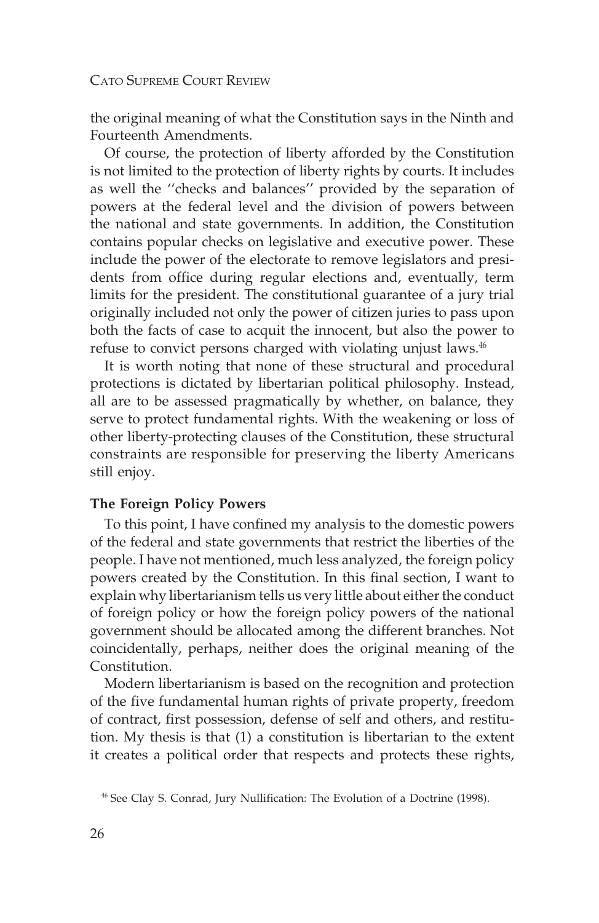the original meaning of what the Constitution says in the Ninth and Fourteenth Amendments.

Of course, the protection of liberty afforded by the Constitution is not limited to the protection of liberty rights by courts. It includes as well the ''checks and balances'' provided by the separation of powers at the federal level and the division of powers between the national and state governments. In addition, the Constitution contains popular checks on legislative and executive power. These include the power of the electorate to remove legislators and presidents from office during regular elections and, eventually, term limits for the president. The constitutional guarantee of a jury trial originally included not only the power of citizen juries to pass upon both the facts of case to acquit the innocent, but also the power to refuse to convict persons charged with violating unjust laws.<sup>46</sup>

It is worth noting that none of these structural and procedural protections is dictated by libertarian political philosophy. Instead, all are to be assessed pragmatically by whether, on balance, they serve to protect fundamental rights. With the weakening or loss of other liberty-protecting clauses of the Constitution, these structural constraints are responsible for preserving the liberty Americans still enjoy.

## **The Foreign Policy Powers**

To this point, I have confined my analysis to the domestic powers of the federal and state governments that restrict the liberties of the people. I have not mentioned, much less analyzed, the foreign policy powers created by the Constitution. In this final section, I want to explain why libertarianism tells us very little about either the conduct of foreign policy or how the foreign policy powers of the national government should be allocated among the different branches. Not coincidentally, perhaps, neither does the original meaning of the Constitution.

Modern libertarianism is based on the recognition and protection of the five fundamental human rights of private property, freedom of contract, first possession, defense of self and others, and restitution. My thesis is that (1) a constitution is libertarian to the extent it creates a political order that respects and protects these rights,

<sup>&</sup>lt;sup>46</sup> See Clay S. Conrad, Jury Nullification: The Evolution of a Doctrine (1998).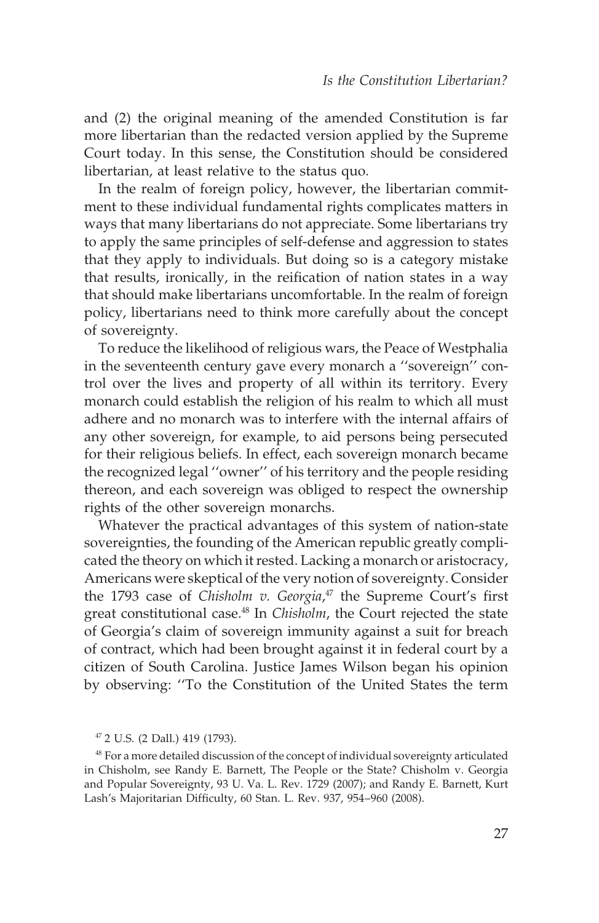and (2) the original meaning of the amended Constitution is far more libertarian than the redacted version applied by the Supreme Court today. In this sense, the Constitution should be considered libertarian, at least relative to the status quo.

In the realm of foreign policy, however, the libertarian commitment to these individual fundamental rights complicates matters in ways that many libertarians do not appreciate. Some libertarians try to apply the same principles of self-defense and aggression to states that they apply to individuals. But doing so is a category mistake that results, ironically, in the reification of nation states in a way that should make libertarians uncomfortable. In the realm of foreign policy, libertarians need to think more carefully about the concept of sovereignty.

To reduce the likelihood of religious wars, the Peace of Westphalia in the seventeenth century gave every monarch a ''sovereign'' control over the lives and property of all within its territory. Every monarch could establish the religion of his realm to which all must adhere and no monarch was to interfere with the internal affairs of any other sovereign, for example, to aid persons being persecuted for their religious beliefs. In effect, each sovereign monarch became the recognized legal ''owner'' of his territory and the people residing thereon, and each sovereign was obliged to respect the ownership rights of the other sovereign monarchs.

Whatever the practical advantages of this system of nation-state sovereignties, the founding of the American republic greatly complicated the theory on which it rested. Lacking a monarch or aristocracy, Americans were skeptical of the very notion of sovereignty. Consider the 1793 case of *Chisholm v. Georgia*, <sup>47</sup> the Supreme Court's first great constitutional case.<sup>48</sup> In *Chisholm*, the Court rejected the state of Georgia's claim of sovereign immunity against a suit for breach of contract, which had been brought against it in federal court by a citizen of South Carolina. Justice James Wilson began his opinion by observing: ''To the Constitution of the United States the term

<sup>47</sup> 2 U.S. (2 Dall.) 419 (1793).

<sup>48</sup> For a more detailed discussion of the concept of individual sovereignty articulated in Chisholm, see Randy E. Barnett, The People or the State? Chisholm v. Georgia and Popular Sovereignty, 93 U. Va. L. Rev. 1729 (2007); and Randy E. Barnett, Kurt Lash's Majoritarian Difficulty, 60 Stan. L. Rev. 937, 954–960 (2008).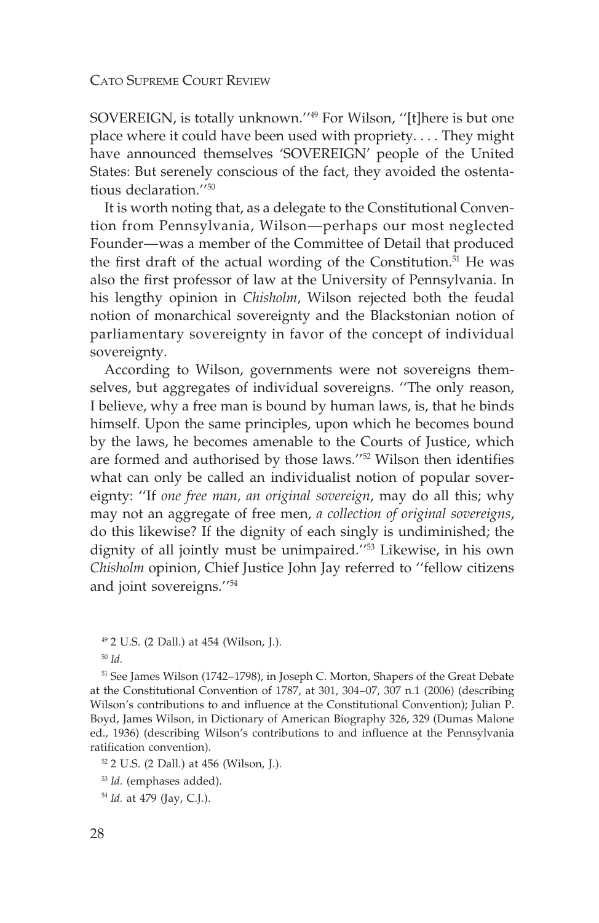SOVEREIGN, is totally unknown.''49 For Wilson, ''[t]here is but one place where it could have been used with propriety.... They might have announced themselves 'SOVEREIGN' people of the United States: But serenely conscious of the fact, they avoided the ostentatious declaration.''50

It is worth noting that, as a delegate to the Constitutional Convention from Pennsylvania, Wilson—perhaps our most neglected Founder—was a member of the Committee of Detail that produced the first draft of the actual wording of the Constitution.<sup>51</sup> He was also the first professor of law at the University of Pennsylvania. In his lengthy opinion in *Chisholm*, Wilson rejected both the feudal notion of monarchical sovereignty and the Blackstonian notion of parliamentary sovereignty in favor of the concept of individual sovereignty.

According to Wilson, governments were not sovereigns themselves, but aggregates of individual sovereigns. ''The only reason, I believe, why a free man is bound by human laws, is, that he binds himself. Upon the same principles, upon which he becomes bound by the laws, he becomes amenable to the Courts of Justice, which are formed and authorised by those laws.''52 Wilson then identifies what can only be called an individualist notion of popular sovereignty: ''If *one free man, an original sovereign*, may do all this; why may not an aggregate of free men, *a collection of original sovereigns*, do this likewise? If the dignity of each singly is undiminished; the dignity of all jointly must be unimpaired.''53 Likewise, in his own *Chisholm* opinion, Chief Justice John Jay referred to ''fellow citizens and joint sovereigns.''54

<sup>51</sup> See James Wilson (1742–1798), in Joseph C. Morton, Shapers of the Great Debate at the Constitutional Convention of 1787, at 301, 304–07, 307 n.1 (2006) (describing Wilson's contributions to and influence at the Constitutional Convention); Julian P. Boyd, James Wilson, in Dictionary of American Biography 326, 329 (Dumas Malone ed., 1936) (describing Wilson's contributions to and influence at the Pennsylvania ratification convention).

<sup>52</sup> 2 U.S. (2 Dall.) at 456 (Wilson, J.).

<sup>53</sup> *Id.* (emphases added).

<sup>54</sup> *Id.* at 479 (Jay, C.J.).

<sup>49</sup> 2 U.S. (2 Dall.) at 454 (Wilson, J.).

<sup>50</sup> *Id.*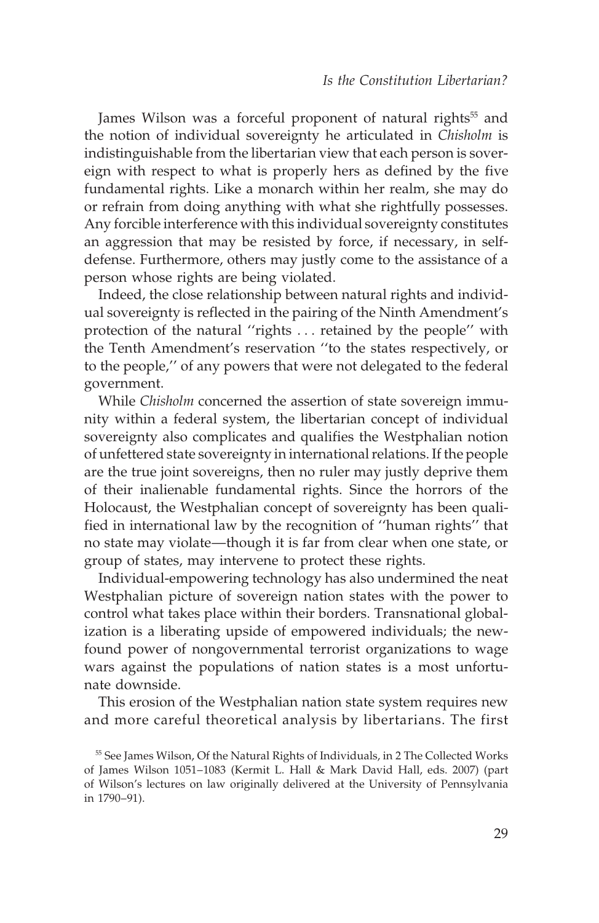James Wilson was a forceful proponent of natural rights<sup>55</sup> and the notion of individual sovereignty he articulated in *Chisholm* is indistinguishable from the libertarian view that each person is sovereign with respect to what is properly hers as defined by the five fundamental rights. Like a monarch within her realm, she may do or refrain from doing anything with what she rightfully possesses. Any forcible interference with this individual sovereignty constitutes an aggression that may be resisted by force, if necessary, in selfdefense. Furthermore, others may justly come to the assistance of a person whose rights are being violated.

Indeed, the close relationship between natural rights and individual sovereignty is reflected in the pairing of the Ninth Amendment's protection of the natural "rights ... retained by the people" with the Tenth Amendment's reservation ''to the states respectively, or to the people,'' of any powers that were not delegated to the federal government.

While *Chisholm* concerned the assertion of state sovereign immunity within a federal system, the libertarian concept of individual sovereignty also complicates and qualifies the Westphalian notion of unfettered state sovereignty in international relations. If the people are the true joint sovereigns, then no ruler may justly deprive them of their inalienable fundamental rights. Since the horrors of the Holocaust, the Westphalian concept of sovereignty has been qualified in international law by the recognition of ''human rights'' that no state may violate—though it is far from clear when one state, or group of states, may intervene to protect these rights.

Individual-empowering technology has also undermined the neat Westphalian picture of sovereign nation states with the power to control what takes place within their borders. Transnational globalization is a liberating upside of empowered individuals; the newfound power of nongovernmental terrorist organizations to wage wars against the populations of nation states is a most unfortunate downside.

This erosion of the Westphalian nation state system requires new and more careful theoretical analysis by libertarians. The first

<sup>55</sup> See James Wilson, Of the Natural Rights of Individuals, in 2 The Collected Works of James Wilson 1051–1083 (Kermit L. Hall & Mark David Hall, eds. 2007) (part of Wilson's lectures on law originally delivered at the University of Pennsylvania in 1790–91).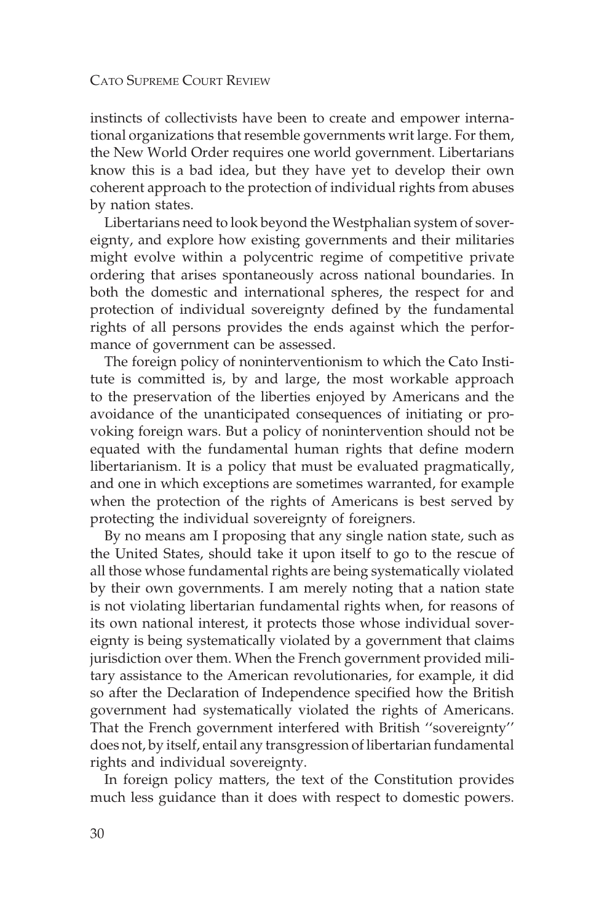instincts of collectivists have been to create and empower international organizations that resemble governments writ large. For them, the New World Order requires one world government. Libertarians know this is a bad idea, but they have yet to develop their own coherent approach to the protection of individual rights from abuses by nation states.

Libertarians need to look beyond the Westphalian system of sovereignty, and explore how existing governments and their militaries might evolve within a polycentric regime of competitive private ordering that arises spontaneously across national boundaries. In both the domestic and international spheres, the respect for and protection of individual sovereignty defined by the fundamental rights of all persons provides the ends against which the performance of government can be assessed.

The foreign policy of noninterventionism to which the Cato Institute is committed is, by and large, the most workable approach to the preservation of the liberties enjoyed by Americans and the avoidance of the unanticipated consequences of initiating or provoking foreign wars. But a policy of nonintervention should not be equated with the fundamental human rights that define modern libertarianism. It is a policy that must be evaluated pragmatically, and one in which exceptions are sometimes warranted, for example when the protection of the rights of Americans is best served by protecting the individual sovereignty of foreigners.

By no means am I proposing that any single nation state, such as the United States, should take it upon itself to go to the rescue of all those whose fundamental rights are being systematically violated by their own governments. I am merely noting that a nation state is not violating libertarian fundamental rights when, for reasons of its own national interest, it protects those whose individual sovereignty is being systematically violated by a government that claims jurisdiction over them. When the French government provided military assistance to the American revolutionaries, for example, it did so after the Declaration of Independence specified how the British government had systematically violated the rights of Americans. That the French government interfered with British ''sovereignty'' does not, by itself, entail any transgression of libertarian fundamental rights and individual sovereignty.

In foreign policy matters, the text of the Constitution provides much less guidance than it does with respect to domestic powers.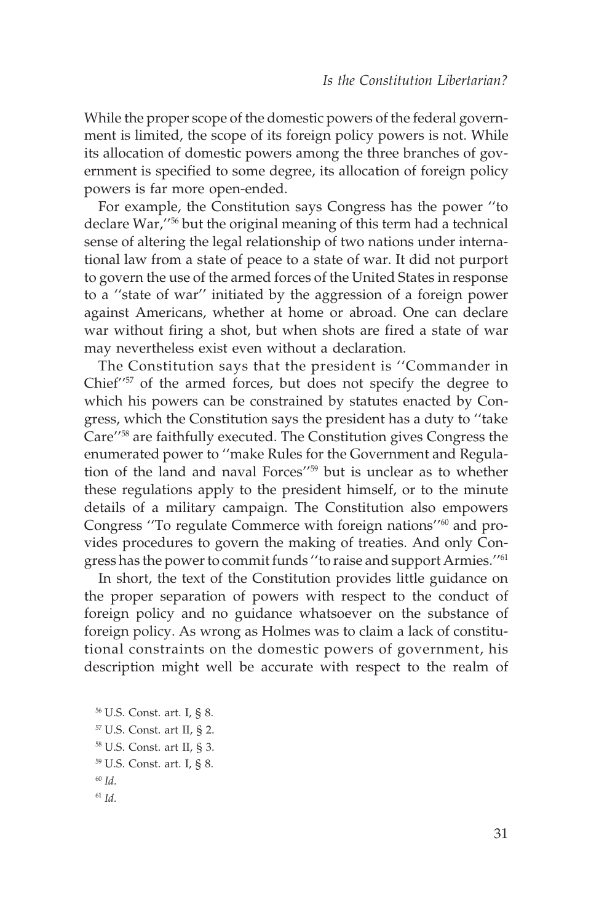While the proper scope of the domestic powers of the federal government is limited, the scope of its foreign policy powers is not. While its allocation of domestic powers among the three branches of government is specified to some degree, its allocation of foreign policy powers is far more open-ended.

For example, the Constitution says Congress has the power ''to declare War,''56 but the original meaning of this term had a technical sense of altering the legal relationship of two nations under international law from a state of peace to a state of war. It did not purport to govern the use of the armed forces of the United States in response to a ''state of war'' initiated by the aggression of a foreign power against Americans, whether at home or abroad. One can declare war without firing a shot, but when shots are fired a state of war may nevertheless exist even without a declaration.

The Constitution says that the president is ''Commander in Chief''57 of the armed forces, but does not specify the degree to which his powers can be constrained by statutes enacted by Congress, which the Constitution says the president has a duty to ''take Care''58 are faithfully executed. The Constitution gives Congress the enumerated power to ''make Rules for the Government and Regulation of the land and naval Forces''59 but is unclear as to whether these regulations apply to the president himself, or to the minute details of a military campaign. The Constitution also empowers Congress ''To regulate Commerce with foreign nations''60 and provides procedures to govern the making of treaties. And only Congress has the power to commit funds ''to raise and support Armies.''61

In short, the text of the Constitution provides little guidance on the proper separation of powers with respect to the conduct of foreign policy and no guidance whatsoever on the substance of foreign policy. As wrong as Holmes was to claim a lack of constitutional constraints on the domestic powers of government, his description might well be accurate with respect to the realm of

 U.S. Const. art. I, § 8. U.S. Const. art II, § 2. U.S. Const. art II, § 3. U.S. Const. art. I, § 8. <sup>60</sup> *Id.* <sup>61</sup> *Id.*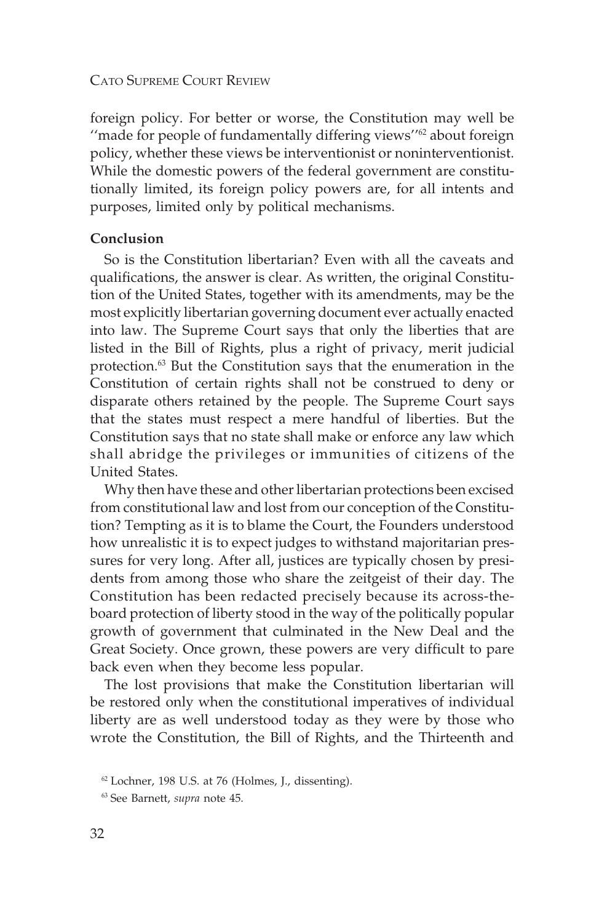#### CATO SUPREME COURT REVIEW

foreign policy. For better or worse, the Constitution may well be "made for people of fundamentally differing views"<sup>62</sup> about foreign policy, whether these views be interventionist or noninterventionist. While the domestic powers of the federal government are constitutionally limited, its foreign policy powers are, for all intents and purposes, limited only by political mechanisms.

### **Conclusion**

So is the Constitution libertarian? Even with all the caveats and qualifications, the answer is clear. As written, the original Constitution of the United States, together with its amendments, may be the most explicitly libertarian governing document ever actually enacted into law. The Supreme Court says that only the liberties that are listed in the Bill of Rights, plus a right of privacy, merit judicial protection.<sup>63</sup> But the Constitution says that the enumeration in the Constitution of certain rights shall not be construed to deny or disparate others retained by the people. The Supreme Court says that the states must respect a mere handful of liberties. But the Constitution says that no state shall make or enforce any law which shall abridge the privileges or immunities of citizens of the United States.

Why then have these and other libertarian protections been excised from constitutional law and lost from our conception of the Constitution? Tempting as it is to blame the Court, the Founders understood how unrealistic it is to expect judges to withstand majoritarian pressures for very long. After all, justices are typically chosen by presidents from among those who share the zeitgeist of their day. The Constitution has been redacted precisely because its across-theboard protection of liberty stood in the way of the politically popular growth of government that culminated in the New Deal and the Great Society. Once grown, these powers are very difficult to pare back even when they become less popular.

The lost provisions that make the Constitution libertarian will be restored only when the constitutional imperatives of individual liberty are as well understood today as they were by those who wrote the Constitution, the Bill of Rights, and the Thirteenth and

 $62$  Lochner, 198 U.S. at 76 (Holmes, J., dissenting).

<sup>63</sup> See Barnett, *supra* note 45.